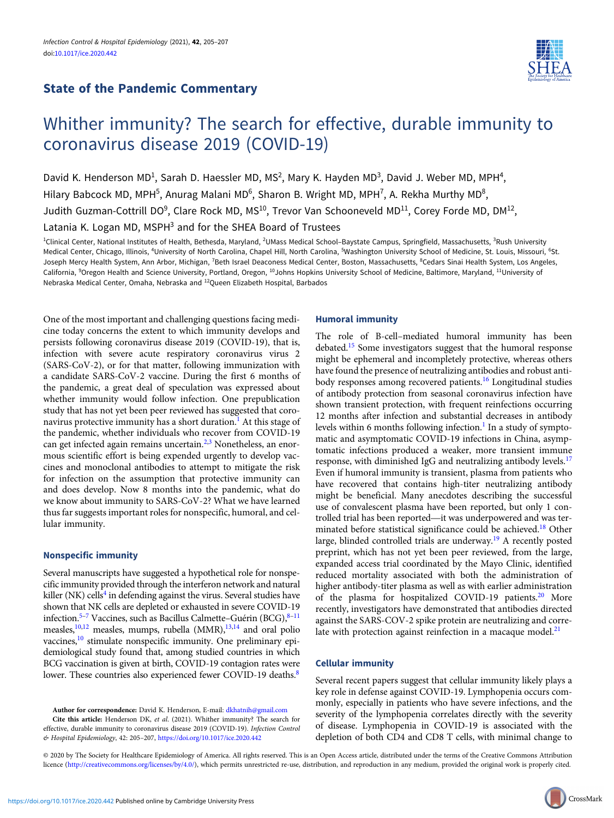# State of the Pandemic Commentary



# Whither immunity? The search for effective, durable immunity to coronavirus disease 2019 (COVID-19)

David K. Henderson MD<sup>1</sup>, Sarah D. Haessler MD, MS<sup>2</sup>, Mary K. Hayden MD<sup>3</sup>, David J. Weber MD, MPH<sup>4</sup>, Hilary Babcock MD, MPH<sup>5</sup>, Anurag Malani MD<sup>6</sup>, Sharon B. Wright MD, MPH<sup>7</sup>, A. Rekha Murthy MD<sup>8</sup>, Judith Guzman-Cottrill DO<sup>9</sup>, Clare Rock MD, MS<sup>10</sup>, Trevor Van Schooneveld MD<sup>11</sup>, Corey Forde MD, DM<sup>12</sup>,

Latania K. Logan MD, MSPH<sup>3</sup> and for the SHEA Board of Trustees

<sup>1</sup>Clinical Center, National Institutes of Health, Bethesda, Maryland, <sup>2</sup>UMass Medical School–Baystate Campus, Springfield, Massachusetts, <sup>3</sup>Rush University Medical Center, Chicago, Illinois, <sup>4</sup>University of North Carolina, Chapel Hill, North Carolina, <sup>5</sup>Washington University School of Medicine, St. Louis, Missouri, <sup>6</sup>St. Joseph Mercy Health System, Ann Arbor, Michigan, <sup>7</sup>Beth Israel Deaconess Medical Center, Boston, Massachusetts, <sup>8</sup>Cedars Sinai Health System, Los Angeles, California, <sup>9</sup>Oregon Health and Science University, Portland, Oregon, <sup>10</sup>Johns Hopkins University School of Medicine, Baltimore, Maryland, <sup>11</sup>University of Nebraska Medical Center, Omaha, Nebraska and 12Queen Elizabeth Hospital, Barbados

One of the most important and challenging questions facing medicine today concerns the extent to which immunity develops and persists following coronavirus disease 2019 (COVID-19), that is, infection with severe acute respiratory coronavirus virus 2 (SARS-CoV-2), or for that matter, following immunization with a candidate SARS-CoV-2 vaccine. During the first 6 months of the pandemic, a great deal of speculation was expressed about whether immunity would follow infection. One prepublication study that has not yet been peer reviewed has suggested that coro-navirus protective immunity has a short duration.<sup>[1](#page-1-0)</sup> At this stage of the pandemic, whether individuals who recover from COVID-19 can get infected again remains uncertain.<sup>[2,3](#page-1-0)</sup> Nonetheless, an enormous scientific effort is being expended urgently to develop vaccines and monoclonal antibodies to attempt to mitigate the risk for infection on the assumption that protective immunity can and does develop. Now 8 months into the pandemic, what do we know about immunity to SARS-CoV-2? What we have learned thus far suggests important roles for nonspecific, humoral, and cellular immunity.

# Nonspecific immunity

Several manuscripts have suggested a hypothetical role for nonspecific immunity provided through the interferon network and natural killer (NK) cells<sup>4</sup> in defending against the virus. Several studies have shown that NK cells are depleted or exhausted in severe COVID-19 infection.<sup>[5](#page-1-0)–[7](#page-1-0)</sup> Vaccines, such as Bacillus Calmette–Guérin (BCG), $8-11$  $8-11$ measles,<sup>10,12</sup> measles, mumps, rubella (MMR),<sup>13,14</sup> and oral polio vaccines,<sup>[10](#page-2-0)</sup> stimulate nonspecific immunity. One preliminary epidemiological study found that, among studied countries in which BCG vaccination is given at birth, COVID-19 contagion rates were lower. These countries also experienced fewer COVID-19 deaths.<sup>8</sup>

Author for correspondence: David K. Henderson, E-mail: [dkhatnih@gmail.com](mailto:dkhatnih@gmail.com) Cite this article: Henderson DK, et al. (2021). Whither immunity? The search for effective, durable immunity to coronavirus disease 2019 (COVID-19). Infection Control & Hospital Epidemiology, 42: 205–207, <https://doi.org/10.1017/ice.2020.442>

## Humoral immunity

The role of B-cell–mediated humoral immunity has been debated.[15](#page-2-0) Some investigators suggest that the humoral response might be ephemeral and incompletely protective, whereas others have found the presence of neutralizing antibodies and robust antibody responses among recovered patients.[16](#page-2-0) Longitudinal studies of antibody protection from seasonal coronavirus infection have shown transient protection, with frequent reinfections occurring 12 months after infection and substantial decreases in antibody levels within 6 months following infection.<sup>[1](#page-1-0)</sup> In a study of symptomatic and asymptomatic COVID-19 infections in China, asymptomatic infections produced a weaker, more transient immune response, with diminished IgG and neutralizing antibody levels.<sup>[17](#page-2-0)</sup> Even if humoral immunity is transient, plasma from patients who have recovered that contains high-titer neutralizing antibody might be beneficial. Many anecdotes describing the successful use of convalescent plasma have been reported, but only 1 controlled trial has been reported—it was underpowered and was terminated before statistical significance could be achieved.[18](#page-2-0) Other large, blinded controlled trials are underway.[19](#page-2-0) A recently posted preprint, which has not yet been peer reviewed, from the large, expanded access trial coordinated by the Mayo Clinic, identified reduced mortality associated with both the administration of higher antibody-titer plasma as well as with earlier administration of the plasma for hospitalized COVID-19 patients.<sup>[20](#page-2-0)</sup> More recently, investigators have demonstrated that antibodies directed against the SARS-COV-2 spike protein are neutralizing and correlate with protection against reinfection in a macaque model. $21$ 

# Cellular immunity

Several recent papers suggest that cellular immunity likely plays a key role in defense against COVID-19. Lymphopenia occurs commonly, especially in patients who have severe infections, and the severity of the lymphopenia correlates directly with the severity of disease. Lymphopenia in COVID-19 is associated with the depletion of both CD4 and CD8 T cells, with minimal change to

© 2020 by The Society for Healthcare Epidemiology of America. All rights reserved. This is an Open Access article, distributed under the terms of the Creative Commons Attribution licence ([http://creativecommons.org/licenses/by/4.0/\)](http://creativecommons.org/licenses/by/4.0/), which permits unrestricted re-use, distribution, and reproduction in any medium, provided the original work is properly cited.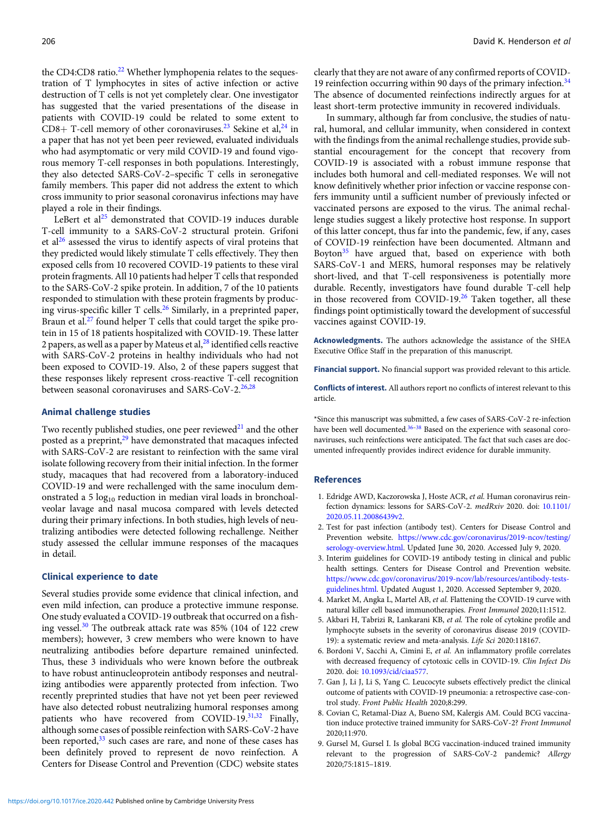<span id="page-1-0"></span>the CD4:CD8 ratio.<sup>[22](#page-2-0)</sup> Whether lymphopenia relates to the sequestration of T lymphocytes in sites of active infection or active destruction of T cells is not yet completely clear. One investigator has suggested that the varied presentations of the disease in patients with COVID-19 could be related to some extent to CD8+ T-cell memory of other coronaviruses.<sup>[23](#page-2-0)</sup> Sekine et al,<sup>[24](#page-2-0)</sup> in a paper that has not yet been peer reviewed, evaluated individuals who had asymptomatic or very mild COVID-19 and found vigorous memory T-cell responses in both populations. Interestingly, they also detected SARS-CoV-2–specific T cells in seronegative family members. This paper did not address the extent to which cross immunity to prior seasonal coronavirus infections may have played a role in their findings.

LeBert et al<sup>[25](#page-2-0)</sup> demonstrated that COVID-19 induces durable T-cell immunity to a SARS-CoV-2 structural protein. Grifoni et al<sup>[26](#page-2-0)</sup> assessed the virus to identify aspects of viral proteins that they predicted would likely stimulate T cells effectively. They then exposed cells from 10 recovered COVID-19 patients to these viral protein fragments. All 10 patients had helper T cells that responded to the SARS-CoV-2 spike protein. In addition, 7 of the 10 patients responded to stimulation with these protein fragments by producing virus-specific killer T cells.[26](#page-2-0) Similarly, in a preprinted paper, Braun et al.<sup>[27](#page-2-0)</sup> found helper T cells that could target the spike protein in 15 of 18 patients hospitalized with COVID-19. These latter 2 papers, as well as a paper by Mateus et al, $^{28}$  $^{28}$  $^{28}$  identified cells reactive with SARS-CoV-2 proteins in healthy individuals who had not been exposed to COVID-19. Also, 2 of these papers suggest that these responses likely represent cross-reactive T-cell recognition between seasonal coronaviruses and SARS-CoV-2. $26,28$ 

## Animal challenge studies

Two recently published studies, one peer reviewed $^{21}$  $^{21}$  $^{21}$  and the other posted as a preprint,<sup>29</sup> have demonstrated that macaques infected with SARS-CoV-2 are resistant to reinfection with the same viral isolate following recovery from their initial infection. In the former study, macaques that had recovered from a laboratory-induced COVID-19 and were rechallenged with the same inoculum demonstrated a 5  $log_{10}$  reduction in median viral loads in bronchoalveolar lavage and nasal mucosa compared with levels detected during their primary infections. In both studies, high levels of neutralizing antibodies were detected following rechallenge. Neither study assessed the cellular immune responses of the macaques in detail.

#### Clinical experience to date

Several studies provide some evidence that clinical infection, and even mild infection, can produce a protective immune response. One study evaluated a COVID-19 outbreak that occurred on a fish-ing vessel.<sup>[30](#page-2-0)</sup> The outbreak attack rate was 85% (104 of 122 crew members); however, 3 crew members who were known to have neutralizing antibodies before departure remained uninfected. Thus, these 3 individuals who were known before the outbreak to have robust antinucleoprotein antibody responses and neutralizing antibodies were apparently protected from infection. Two recently preprinted studies that have not yet been peer reviewed have also detected robust neutralizing humoral responses among patients who have recovered from COVID-19.<sup>31,32</sup> Finally, although some cases of possible reinfection with SARS-CoV-2 have been reported,<sup>[33](#page-2-0)</sup> such cases are rare, and none of these cases has been definitely proved to represent de novo reinfection. A Centers for Disease Control and Prevention (CDC) website states

clearly that they are not aware of any confirmed reports of COVID-19 reinfection occurring within 90 days of the primary infection. $34$ The absence of documented reinfections indirectly argues for at least short-term protective immunity in recovered individuals.

In summary, although far from conclusive, the studies of natural, humoral, and cellular immunity, when considered in context with the findings from the animal rechallenge studies, provide substantial encouragement for the concept that recovery from COVID-19 is associated with a robust immune response that includes both humoral and cell-mediated responses. We will not know definitively whether prior infection or vaccine response confers immunity until a sufficient number of previously infected or vaccinated persons are exposed to the virus. The animal rechallenge studies suggest a likely protective host response. In support of this latter concept, thus far into the pandemic, few, if any, cases of COVID-19 reinfection have been documented. Altmann and Boyton<sup>[35](#page-2-0)</sup> have argued that, based on experience with both SARS-CoV-1 and MERS, humoral responses may be relatively short-lived, and that T-cell responsiveness is potentially more durable. Recently, investigators have found durable T-cell help in those recovered from COVID-19.[26](#page-2-0) Taken together, all these findings point optimistically toward the development of successful vaccines against COVID-19.

Acknowledgments. The authors acknowledge the assistance of the SHEA Executive Office Staff in the preparation of this manuscript.

Financial support. No financial support was provided relevant to this article.

Conflicts of interest. All authors report no conflicts of interest relevant to this article.

\*Since this manuscript was submitted, a few cases of SARS-CoV-2 re-infection have been well documented.<sup>[36](#page-2-0)-[38](#page-2-0)</sup> Based on the experience with seasonal coronaviruses, such reinfections were anticipated. The fact that such cases are documented infrequently provides indirect evidence for durable immunity.

#### References

- 1. Edridge AWD, Kaczorowska J, Hoste ACR, et al. Human coronavirus reinfection dynamics: lessons for SARS-CoV-2. medRxiv 2020. doi: [10.1101/](https://doi.org/10.1101/2020.05.11.20086439v2) [2020.05.11.20086439v2](https://doi.org/10.1101/2020.05.11.20086439v2).
- 2. Test for past infection (antibody test). Centers for Disease Control and Prevention website. [https://www.cdc.gov/coronavirus/2019-ncov/testing/](https://www.cdc.gov/coronavirus/2019-ncov/testing/serology-overview.html) [serology-overview.html.](https://www.cdc.gov/coronavirus/2019-ncov/testing/serology-overview.html) Updated June 30, 2020. Accessed July 9, 2020.
- 3. Interim guidelines for COVID-19 antibody testing in clinical and public health settings. Centers for Disease Control and Prevention website. [https://www.cdc.gov/coronavirus/2019-ncov/lab/resources/antibody-tests](https://www.cdc.gov/coronavirus/2019-ncov/lab/resources/antibody-tests-guidelines.html)[guidelines.html](https://www.cdc.gov/coronavirus/2019-ncov/lab/resources/antibody-tests-guidelines.html). Updated August 1, 2020. Accessed September 9, 2020.
- 4. Market M, Angka L, Martel AB, et al. Flattening the COVID-19 curve with natural killer cell based immunotherapies. Front Immunol 2020;11:1512.
- 5. Akbari H, Tabrizi R, Lankarani KB, et al. The role of cytokine profile and lymphocyte subsets in the severity of coronavirus disease 2019 (COVID-19): a systematic review and meta-analysis. Life Sci 2020:118167.
- 6. Bordoni V, Sacchi A, Cimini E, et al. An inflammatory profile correlates with decreased frequency of cytotoxic cells in COVID-19. Clin Infect Dis 2020. doi: [10.1093/cid/ciaa577.](https://doi.org/10.1093/cid/ciaa577)
- 7. Gan J, Li J, Li S, Yang C. Leucocyte subsets effectively predict the clinical outcome of patients with COVID-19 pneumonia: a retrospective case-control study. Front Public Health 2020;8:299.
- 8. Covian C, Retamal-Diaz A, Bueno SM, Kalergis AM. Could BCG vaccination induce protective trained immunity for SARS-CoV-2? Front Immunol 2020;11:970.
- 9. Gursel M, Gursel I. Is global BCG vaccination-induced trained immunity relevant to the progression of SARS-CoV-2 pandemic? Allergy 2020;75:1815–1819.